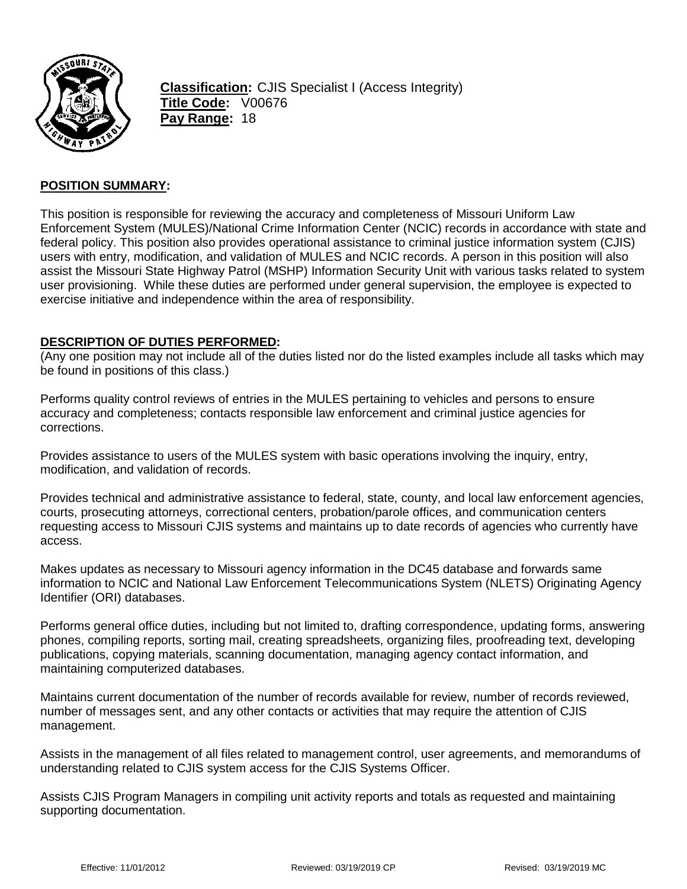

**Classification:** CJIS Specialist I (Access Integrity) **Title Code:** V00676 **Pay Range:** 18

## **POSITION SUMMARY:**

This position is responsible for reviewing the accuracy and completeness of Missouri Uniform Law Enforcement System (MULES)/National Crime Information Center (NCIC) records in accordance with state and federal policy. This position also provides operational assistance to criminal justice information system (CJIS) users with entry, modification, and validation of MULES and NCIC records. A person in this position will also assist the Missouri State Highway Patrol (MSHP) Information Security Unit with various tasks related to system user provisioning. While these duties are performed under general supervision, the employee is expected to exercise initiative and independence within the area of responsibility.

#### **DESCRIPTION OF DUTIES PERFORMED:**

(Any one position may not include all of the duties listed nor do the listed examples include all tasks which may be found in positions of this class.)

Performs quality control reviews of entries in the MULES pertaining to vehicles and persons to ensure accuracy and completeness; contacts responsible law enforcement and criminal justice agencies for corrections.

Provides assistance to users of the MULES system with basic operations involving the inquiry, entry, modification, and validation of records.

Provides technical and administrative assistance to federal, state, county, and local law enforcement agencies, courts, prosecuting attorneys, correctional centers, probation/parole offices, and communication centers requesting access to Missouri CJIS systems and maintains up to date records of agencies who currently have access.

Makes updates as necessary to Missouri agency information in the DC45 database and forwards same information to NCIC and National Law Enforcement Telecommunications System (NLETS) Originating Agency Identifier (ORI) databases.

Performs general office duties, including but not limited to, drafting correspondence, updating forms, answering phones, compiling reports, sorting mail, creating spreadsheets, organizing files, proofreading text, developing publications, copying materials, scanning documentation, managing agency contact information, and maintaining computerized databases.

Maintains current documentation of the number of records available for review, number of records reviewed, number of messages sent, and any other contacts or activities that may require the attention of CJIS management.

Assists in the management of all files related to management control, user agreements, and memorandums of understanding related to CJIS system access for the CJIS Systems Officer.

Assists CJIS Program Managers in compiling unit activity reports and totals as requested and maintaining supporting documentation.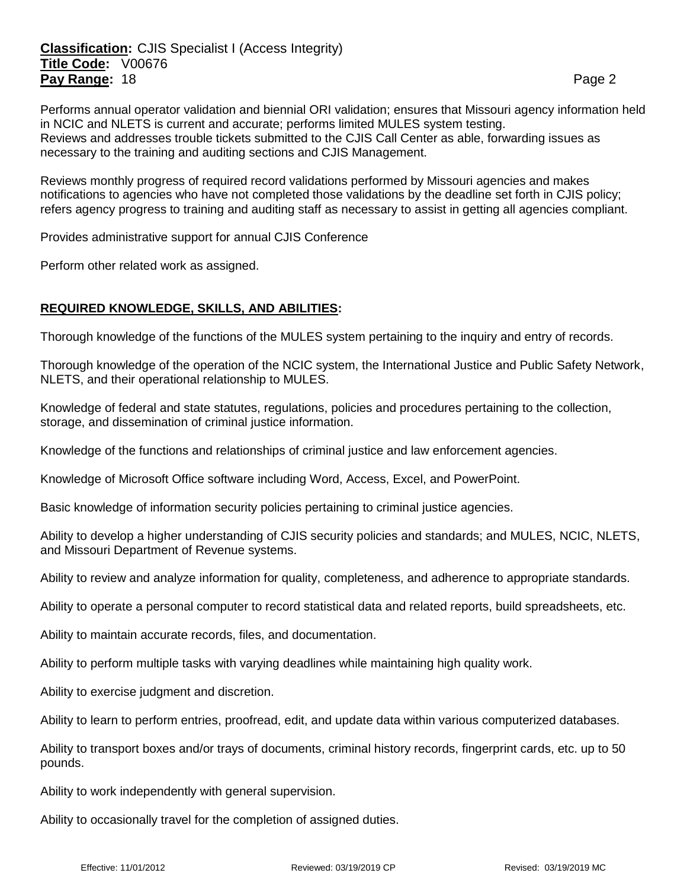# **Classification:** CJIS Specialist I (Access Integrity) **Title Code:** V00676 **Pay Range:** 18 **Page 2 Page 2 Page 2 Page 2 Page 2**

Performs annual operator validation and biennial ORI validation; ensures that Missouri agency information held in NCIC and NLETS is current and accurate; performs limited MULES system testing. Reviews and addresses trouble tickets submitted to the CJIS Call Center as able, forwarding issues as necessary to the training and auditing sections and CJIS Management.

Reviews monthly progress of required record validations performed by Missouri agencies and makes notifications to agencies who have not completed those validations by the deadline set forth in CJIS policy; refers agency progress to training and auditing staff as necessary to assist in getting all agencies compliant.

Provides administrative support for annual CJIS Conference

Perform other related work as assigned.

## **REQUIRED KNOWLEDGE, SKILLS, AND ABILITIES:**

Thorough knowledge of the functions of the MULES system pertaining to the inquiry and entry of records.

Thorough knowledge of the operation of the NCIC system, the International Justice and Public Safety Network, NLETS, and their operational relationship to MULES.

Knowledge of federal and state statutes, regulations, policies and procedures pertaining to the collection, storage, and dissemination of criminal justice information.

Knowledge of the functions and relationships of criminal justice and law enforcement agencies.

Knowledge of Microsoft Office software including Word, Access, Excel, and PowerPoint.

Basic knowledge of information security policies pertaining to criminal justice agencies.

Ability to develop a higher understanding of CJIS security policies and standards; and MULES, NCIC, NLETS, and Missouri Department of Revenue systems.

Ability to review and analyze information for quality, completeness, and adherence to appropriate standards.

Ability to operate a personal computer to record statistical data and related reports, build spreadsheets, etc.

Ability to maintain accurate records, files, and documentation.

Ability to perform multiple tasks with varying deadlines while maintaining high quality work.

Ability to exercise judgment and discretion.

Ability to learn to perform entries, proofread, edit, and update data within various computerized databases.

Ability to transport boxes and/or trays of documents, criminal history records, fingerprint cards, etc. up to 50 pounds.

Ability to work independently with general supervision.

Ability to occasionally travel for the completion of assigned duties.